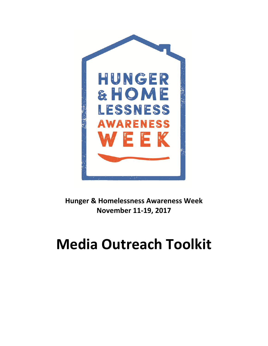

**Hunger & Homelessness Awareness Week November 11-19, 2017** 

# **Media Outreach Toolkit**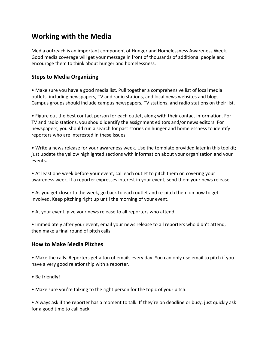# **Working with the Media**

Media outreach is an important component of Hunger and Homelessness Awareness Week. Good media coverage will get your message in front of thousands of additional people and encourage them to think about hunger and homelessness.

## **Steps to Media Organizing**

• Make sure you have a good media list. Pull together a comprehensive list of local media outlets, including newspapers, TV and radio stations, and local news websites and blogs. Campus groups should include campus newspapers, TV stations, and radio stations on their list.

• Figure out the best contact person for each outlet, along with their contact information. For TV and radio stations, you should identify the assignment editors and/or news editors. For newspapers, you should run a search for past stories on hunger and homelessness to identify reporters who are interested in these issues.

• Write a news release for your awareness week. Use the template provided later in this toolkit; just update the yellow highlighted sections with information about your organization and your events.

• At least one week before your event, call each outlet to pitch them on covering your awareness week. If a reporter expresses interest in your event, send them your news release.

• As you get closer to the week, go back to each outlet and re-pitch them on how to get involved. Keep pitching right up until the morning of your event.

• At your event, give your news release to all reporters who attend.

• Immediately after your event, email your news release to all reporters who didn't attend, then make a final round of pitch calls.

### **How to Make Media Pitches**

• Make the calls. Reporters get a ton of emails every day. You can only use email to pitch if you have a very good relationship with a reporter.

- Be friendly!
- Make sure you're talking to the right person for the topic of your pitch.

• Always ask if the reporter has a moment to talk. If they're on deadline or busy, just quickly ask for a good time to call back.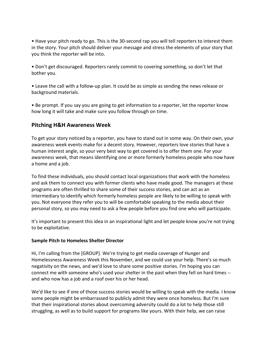• Have your pitch ready to go. This is the 30-second rap you will tell reporters to interest them in the story. Your pitch should deliver your message and stress the elements of your story that you think the reporter will be into.

• Don't get discouraged. Reporters rarely commit to covering something, so don't let that bother you.

• Leave the call with a follow-up plan. It could be as simple as sending the news release or background materials.

• Be prompt. If you say you are going to get information to a reporter, let the reporter know how long it will take and make sure you follow through on time.

#### **Pitching H&H Awareness Week**

To get your story noticed by a reporter, you have to stand out in some way. On their own, your awareness week events make for a decent story. However, reporters love stories that have a human interest angle, so your very best way to get covered is to offer them one. For your awareness week, that means identifying one or more formerly homeless people who now have a home and a job.

To find these individuals, you should contact local organizations that work with the homeless and ask them to connect you with former clients who have made good. The managers at these programs are often thrilled to share some of their success stories, and can act as an intermediary to identify which formerly homeless people are likely to be willing to speak with you. Not everyone they refer you to will be comfortable speaking to the media about their personal story, so you may need to ask a few people before you find one who will participate.

It's important to present this idea in an inspirational light and let people know you're not trying to be exploitative.

#### **Sample Pitch to Homeless Shelter Director**

Hi, I'm calling from the [GROUP]. We're trying to get media coverage of Hunger and Homelessness Awareness Week this November, and we could use your help. There's so much negativity on the news, and we'd love to share some positive stories. I'm hoping you can connect me with someone who's used your shelter in the past when they fell on hard times - and who now has a job and a roof over his or her head.

We'd like to see if one of those success stories would be willing to speak with the media. I know some people might be embarrassed to publicly admit they were once homeless. But I'm sure that their inspirational stories about overcoming adversity could do a lot to help those still struggling, as well as to build support for programs like yours. With their help, we can raise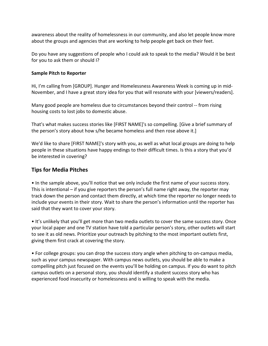awareness about the reality of homelessness in our community, and also let people know more about the groups and agencies that are working to help people get back on their feet.

Do you have any suggestions of people who I could ask to speak to the media? Would it be best for you to ask them or should I?

#### **Sample Pitch to Reporter**

Hi, I'm calling from [GROUP]. Hunger and Homelessness Awareness Week is coming up in mid-November, and I have a great story idea for you that will resonate with your [viewers/readers].

Many good people are homeless due to circumstances beyond their control -- from rising housing costs to lost jobs to domestic abuse.

That's what makes success stories like [FIRST NAME]'s so compelling. [Give a brief summary of the person's story about how s/he became homeless and then rose above it.]

We'd like to share [FIRST NAME]'s story with you, as well as what local groups are doing to help people in these situations have happy endings to their difficult times. Is this a story that you'd be interested in covering?

## **Tips for Media Pitches**

• In the sample above, you'll notice that we only include the first name of your success story. This is intentional – if you give reporters the person's full name right away, the reporter may track down the person and contact them directly, at which time the reporter no longer needs to include your events in their story. Wait to share the person's information until the reporter has said that they want to cover your story.

• It's unlikely that you'll get more than two media outlets to cover the same success story. Once your local paper and one TV station have told a particular person's story, other outlets will start to see it as old news. Prioritize your outreach by pitching to the most important outlets first, giving them first crack at covering the story.

• For college groups: you can drop the success story angle when pitching to on-campus media, such as your campus newspaper. With campus news outlets, you should be able to make a compelling pitch just focused on the events you'll be holding on campus. If you do want to pitch campus outlets on a personal story, you should identify a student success story who has experienced food insecurity or homelessness and is willing to speak with the media.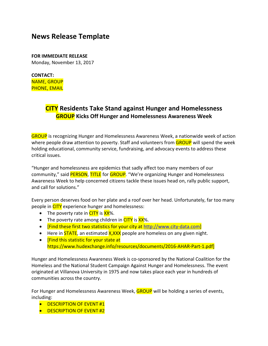# **News Release Template**

**FOR IMMEDIATE RELEASE**  Monday, November 13, 2017

**CONTACT:**  NAME, GROUP PHONE, EMAIL

# **CITY Residents Take Stand against Hunger and Homelessness GROUP Kicks Off Hunger and Homelessness Awareness Week**

GROUP is recognizing Hunger and Homelessness Awareness Week, a nationwide week of action where people draw attention to poverty. Staff and volunteers from **GROUP** will spend the week holding educational, community service, fundraising, and advocacy events to address these critical issues.

"Hunger and homelessness are epidemics that sadly affect too many members of our community," said **PERSON, TITLE** for GROUP. "We're organizing Hunger and Homelessness Awareness Week to help concerned citizens tackle these issues head on, rally public support, and call for solutions."

Every person deserves food on her plate and a roof over her head. Unfortunately, far too many people in CITY experience hunger and homelessness:

- The poverty rate in  $CITY$  is  $XX$ %.
- The poverty rate among children in  $CITY$  is  $XX\%$ .
- [Find these first two statistics for your city at http://www.city-data.com]
- Here in  $\overline{\text{STATE}}$ , an estimated  $\overline{\text{X,XXX}}$  people are homeless on any given night.
- **Find this statistic for your state at** https://www.hudexchange.info/resources/documents/2016-AHAR-Part-1.pdf]

Hunger and Homelessness Awareness Week is co-sponsored by the National Coalition for the Homeless and the National Student Campaign Against Hunger and Homelessness. The event originated at Villanova University in 1975 and now takes place each year in hundreds of communities across the country.

For Hunger and Homelessness Awareness Week, GROUP will be holding a series of events, including:

- **DESCRIPTION OF EVENT #1**
- **DESCRIPTION OF EVENT #2**